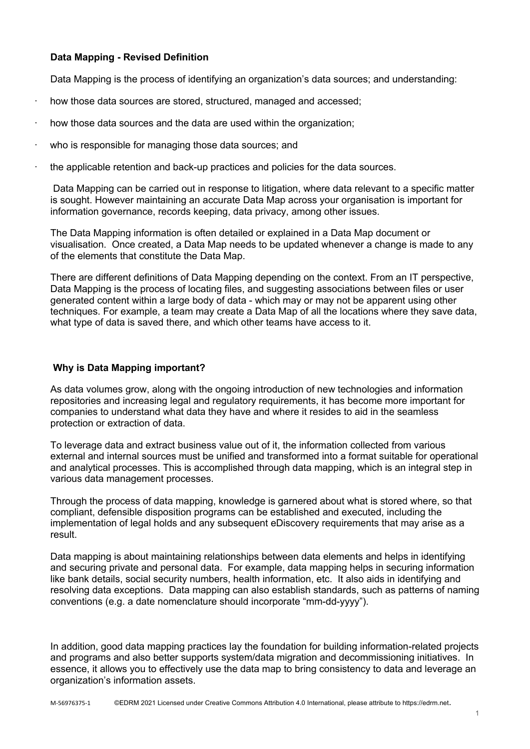## **Data Mapping - Revised Definition**

Data Mapping is the process of identifying an organization's data sources; and understanding:

- how those data sources are stored, structured, managed and accessed;
- how those data sources and the data are used within the organization;
- who is responsible for managing those data sources; and
- · the applicable retention and back-up practices and policies for the data sources.

Data Mapping can be carried out in response to litigation, where data relevant to a specific matter is sought. However maintaining an accurate Data Map across your organisation is important for information governance, records keeping, data privacy, among other issues.

The Data Mapping information is often detailed or explained in a Data Map document or visualisation. Once created, a Data Map needs to be updated whenever a change is made to any of the elements that constitute the Data Map.

There are different definitions of Data Mapping depending on the context. From an IT perspective, Data Mapping is the process of locating files, and suggesting associations between files or user generated content within a large body of data - which may or may not be apparent using other techniques. For example, a team may create a Data Map of all the locations where they save data, what type of data is saved there, and which other teams have access to it.

## **Why is Data Mapping important?**

As data volumes grow, along with the ongoing introduction of new technologies and information repositories and increasing legal and regulatory requirements, it has become more important for companies to understand what data they have and where it resides to aid in the seamless protection or extraction of data.

To leverage data and extract business value out of it, the information collected from various external and internal sources must be unified and transformed into a format suitable for operational and analytical processes. This is accomplished through data mapping, which is an integral step in various data management processes.

Through the process of data mapping, knowledge is garnered about what is stored where, so that compliant, defensible disposition programs can be established and executed, including the implementation of legal holds and any subsequent eDiscovery requirements that may arise as a result.

Data mapping is about maintaining relationships between data elements and helps in identifying and securing private and personal data. For example, data mapping helps in securing information like bank details, social security numbers, health information, etc. It also aids in identifying and resolving data exceptions. Data mapping can also establish standards, such as patterns of naming conventions (e.g. a date nomenclature should incorporate "mm-dd-yyyy").

In addition, good data mapping practices lay the foundation for building information-related projects and programs and also better supports system/data migration and decommissioning initiatives. In essence, it allows you to effectively use the data map to bring consistency to data and leverage an organization's information assets.